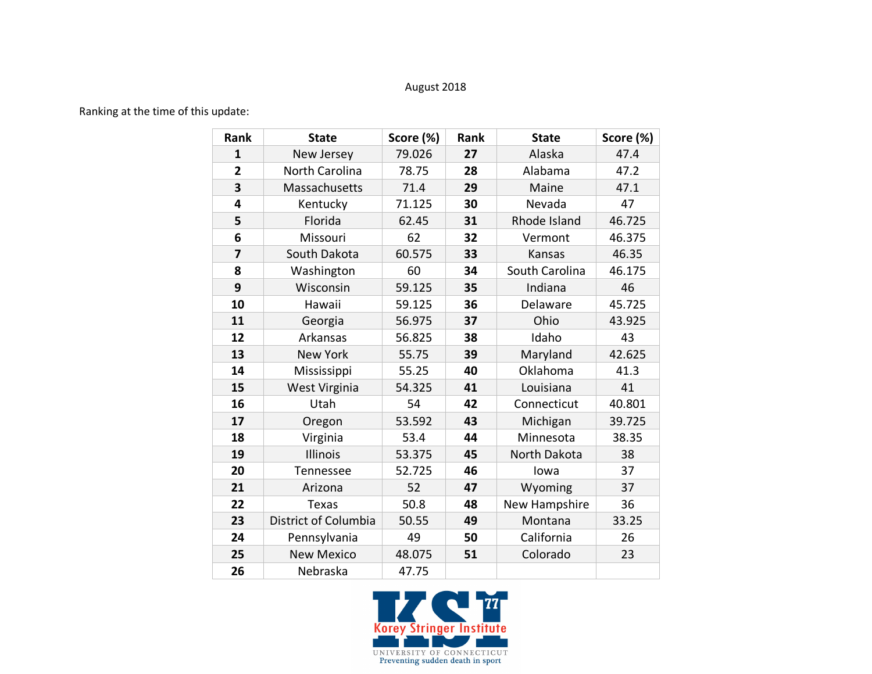## August 2018

## Ranking at the time of this update:

| Rank           | <b>State</b>         | Score (%) | Rank | <b>State</b>   | Score (%) |
|----------------|----------------------|-----------|------|----------------|-----------|
| $\mathbf{1}$   | New Jersey           | 79.026    | 27   | Alaska         | 47.4      |
| $\overline{2}$ | North Carolina       | 78.75     | 28   | Alabama        | 47.2      |
| 3              | Massachusetts        | 71.4      | 29   | Maine          | 47.1      |
| 4              | Kentucky             | 71.125    | 30   | Nevada         | 47        |
| 5              | Florida              | 62.45     | 31   | Rhode Island   | 46.725    |
| 6              | Missouri             | 62        | 32   | Vermont        | 46.375    |
| $\overline{7}$ | South Dakota         | 60.575    | 33   | Kansas         | 46.35     |
| 8              | Washington           | 60        | 34   | South Carolina | 46.175    |
| 9              | Wisconsin            | 59.125    | 35   | Indiana        | 46        |
| 10             | Hawaii               | 59.125    | 36   | Delaware       | 45.725    |
| 11             | Georgia              | 56.975    | 37   | Ohio           | 43.925    |
| 12             | Arkansas             | 56.825    | 38   | Idaho          | 43        |
| 13             | <b>New York</b>      | 55.75     | 39   | Maryland       | 42.625    |
| 14             | Mississippi          | 55.25     | 40   | Oklahoma       | 41.3      |
| 15             | West Virginia        | 54.325    | 41   | Louisiana      | 41        |
| 16             | Utah                 | 54        | 42   | Connecticut    | 40.801    |
| 17             | Oregon               | 53.592    | 43   | Michigan       | 39.725    |
| 18             | Virginia             | 53.4      | 44   | Minnesota      | 38.35     |
| 19             | Illinois             | 53.375    | 45   | North Dakota   | 38        |
| 20             | Tennessee            | 52.725    | 46   | lowa           | 37        |
| 21             | Arizona              | 52        | 47   | Wyoming        | 37        |
| 22             | Texas                | 50.8      | 48   | New Hampshire  | 36        |
| 23             | District of Columbia | 50.55     | 49   | Montana        | 33.25     |
| 24             | Pennsylvania         | 49        | 50   | California     | 26        |
| 25             | <b>New Mexico</b>    | 48.075    | 51   | Colorado       | 23        |
| 26             | Nebraska             | 47.75     |      |                |           |